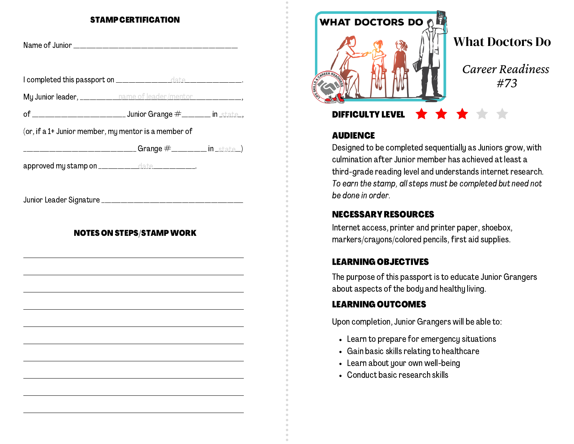#### STAMP CERTIFICATION

| My Junior leader, __________ name of leader/mentor _________________, |                                  |  |
|-----------------------------------------------------------------------|----------------------------------|--|
|                                                                       |                                  |  |
| (or, if a 1+ Junior member, my mentor is a member of                  |                                  |  |
|                                                                       |                                  |  |
| approved my stamp on _____________date ____________.                  |                                  |  |
|                                                                       |                                  |  |
|                                                                       | <b>NOTES ON STEPS/STAMP WORK</b> |  |
|                                                                       |                                  |  |
|                                                                       |                                  |  |



### **AUDIENCE**

Designed to be completed sequentially as Juniors grow, with culmination after Junior member has achieved at least a third-grade reading level and understands internet research. To earn the stamp, all steps must be completed but need not be done in order.

## NECESSARY RESOURCES

Internet access, printer and printer paper, shoebox, markers/crayons/colored pencils, first aid supplies.

# LEARNING OBJECTIVES

The purpose of this passport is to educate Junior Grangers about aspects of the body and healthy living.

# LEARNING OUTCOMES

Upon completion, Junior Grangers will be able to:

- Learn to prepare for emergency situations
- Gain basic skills relating to healthcare
- Learn about your own well-being
- Conduct basic research skills